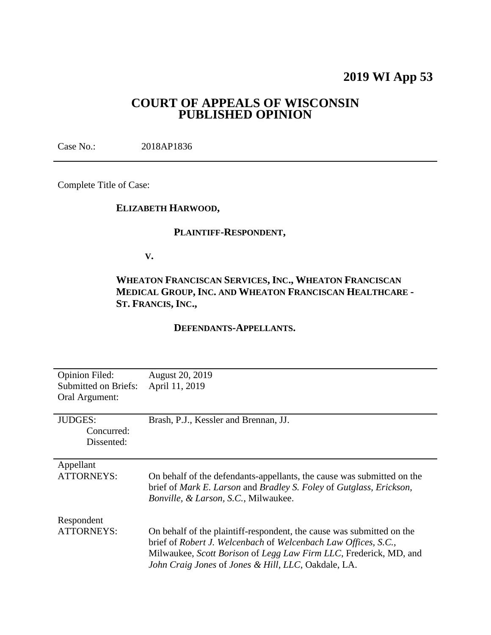# **2019 WI App 53**

## **COURT OF APPEALS OF WISCONSIN PUBLISHED OPINION**

Case No.: 2018AP1836

Complete Title of Case:

## **ELIZABETH HARWOOD,**

#### **PLAINTIFF-RESPONDENT,**

**V.**

## **WHEATON FRANCISCAN SERVICES, INC., WHEATON FRANCISCAN MEDICAL GROUP, INC. AND WHEATON FRANCISCAN HEALTHCARE - ST. FRANCIS, INC.,**

#### **DEFENDANTS-APPELLANTS.**

| <b>Opinion Filed:</b>       | <b>August 20, 2019</b>                                                                                                                                                                           |
|-----------------------------|--------------------------------------------------------------------------------------------------------------------------------------------------------------------------------------------------|
| <b>Submitted on Briefs:</b> | April 11, 2019                                                                                                                                                                                   |
| Oral Argument:              |                                                                                                                                                                                                  |
|                             |                                                                                                                                                                                                  |
| <b>JUDGES:</b>              | Brash, P.J., Kessler and Brennan, JJ.                                                                                                                                                            |
| Concurred:                  |                                                                                                                                                                                                  |
| Dissented:                  |                                                                                                                                                                                                  |
|                             |                                                                                                                                                                                                  |
| Appellant                   |                                                                                                                                                                                                  |
| <b>ATTORNEYS:</b>           | On behalf of the defendants-appellants, the cause was submitted on the<br>brief of Mark E. Larson and Bradley S. Foley of Gutglass, Erickson,<br><i>Bonville, &amp; Larson, S.C., Milwaukee.</i> |
| Respondent                  |                                                                                                                                                                                                  |
| <b>ATTORNEYS:</b>           | On behalf of the plaintiff-respondent, the cause was submitted on the                                                                                                                            |
|                             | brief of Robert J. Welcenbach of Welcenbach Law Offices, S.C.,<br>Milwaukee, Scott Borison of Legg Law Firm LLC, Frederick, MD, and<br>John Craig Jones of Jones & Hill, LLC, Oakdale, LA.       |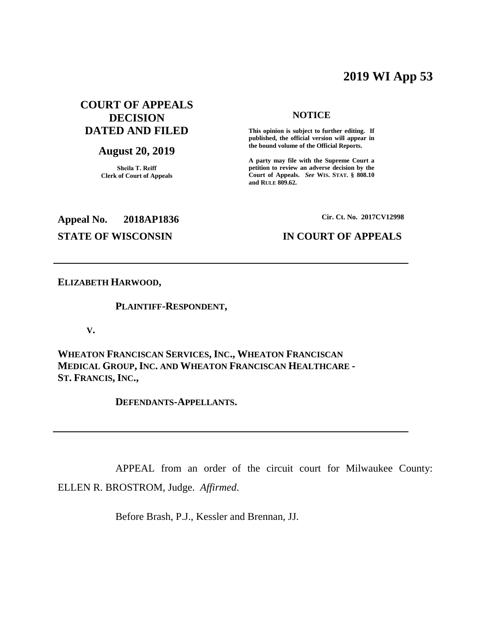## **2019 WI App 53**

## **COURT OF APPEALS DECISION DATED AND FILED**

## **August 20, 2019**

**Sheila T. Reiff Clerk of Court of Appeals**

#### **NOTICE**

**This opinion is subject to further editing. If published, the official version will appear in the bound volume of the Official Reports.** 

**A party may file with the Supreme Court a petition to review an adverse decision by the Court of Appeals.** *See* **WIS. STAT. § 808.10 and RULE 809.62.** 

## **Appeal No. 2018AP1836 Cir. Ct. No. 2017CV12998**

#### **STATE OF WISCONSIN IN COURT OF APPEALS**

#### **ELIZABETH HARWOOD,**

#### **PLAINTIFF-RESPONDENT,**

**V.**

**WHEATON FRANCISCAN SERVICES, INC., WHEATON FRANCISCAN MEDICAL GROUP, INC. AND WHEATON FRANCISCAN HEALTHCARE - ST. FRANCIS, INC.,**

**DEFENDANTS-APPELLANTS.**

APPEAL from an order of the circuit court for Milwaukee County: ELLEN R. BROSTROM, Judge. *Affirmed*.

Before Brash, P.J., Kessler and Brennan, JJ.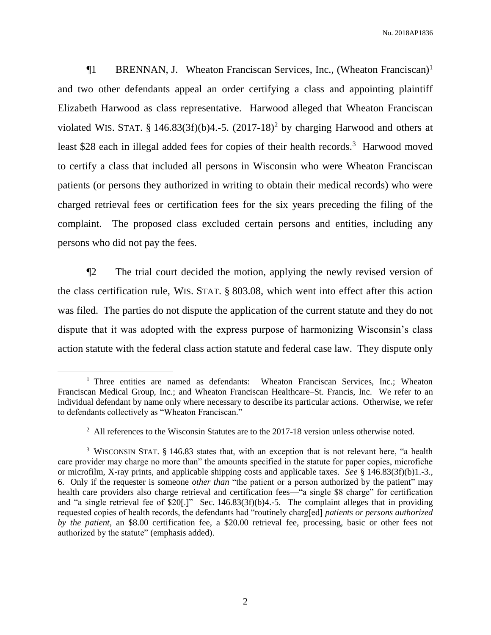¶1 BRENNAN, J. Wheaton Franciscan Services, Inc., (Wheaton Franciscan)<sup>1</sup> and two other defendants appeal an order certifying a class and appointing plaintiff Elizabeth Harwood as class representative. Harwood alleged that Wheaton Franciscan violated WIS. STAT. § 146.83(3f)(b)4.-5.  $(2017-18)^2$  by charging Harwood and others at least \$28 each in illegal added fees for copies of their health records.<sup>3</sup> Harwood moved to certify a class that included all persons in Wisconsin who were Wheaton Franciscan patients (or persons they authorized in writing to obtain their medical records) who were charged retrieval fees or certification fees for the six years preceding the filing of the complaint. The proposed class excluded certain persons and entities, including any persons who did not pay the fees.

¶2 The trial court decided the motion, applying the newly revised version of the class certification rule, WIS. STAT. § 803.08, which went into effect after this action was filed. The parties do not dispute the application of the current statute and they do not dispute that it was adopted with the express purpose of harmonizing Wisconsin's class action statute with the federal class action statute and federal case law. They dispute only

<sup>&</sup>lt;sup>1</sup> Three entities are named as defendants: Wheaton Franciscan Services, Inc.; Wheaton Franciscan Medical Group, Inc.; and Wheaton Franciscan Healthcare–St. Francis, Inc. We refer to an individual defendant by name only where necessary to describe its particular actions. Otherwise, we refer to defendants collectively as "Wheaton Franciscan."

 $2$  All references to the Wisconsin Statutes are to the 2017-18 version unless otherwise noted.

<sup>&</sup>lt;sup>3</sup> WISCONSIN STAT. § 146.83 states that, with an exception that is not relevant here, "a health care provider may charge no more than" the amounts specified in the statute for paper copies, microfiche or microfilm, X-ray prints, and applicable shipping costs and applicable taxes. *See* § 146.83(3f)(b)1.-3., 6. Only if the requester is someone *other than* "the patient or a person authorized by the patient" may health care providers also charge retrieval and certification fees—"a single \$8 charge" for certification and "a single retrieval fee of \$20[.]" Sec. 146.83(3f)(b)4.-5. The complaint alleges that in providing requested copies of health records, the defendants had "routinely charg[ed] *patients or persons authorized by the patient*, an \$8.00 certification fee, a \$20.00 retrieval fee, processing, basic or other fees not authorized by the statute" (emphasis added).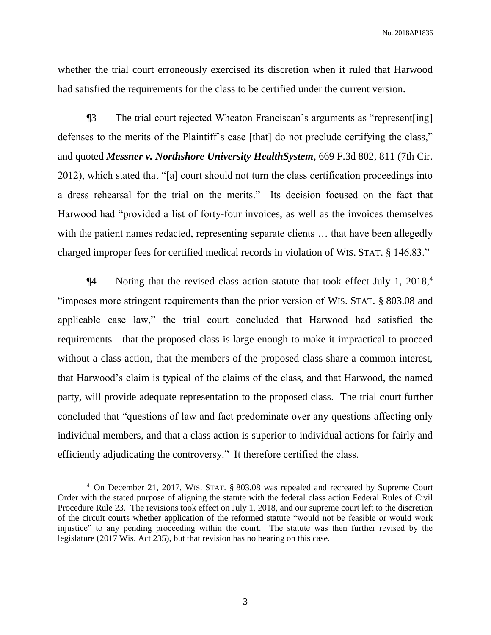whether the trial court erroneously exercised its discretion when it ruled that Harwood had satisfied the requirements for the class to be certified under the current version.

¶3 The trial court rejected Wheaton Franciscan's arguments as "represent[ing] defenses to the merits of the Plaintiff's case [that] do not preclude certifying the class," and quoted *Messner v. Northshore University HealthSystem*, 669 F.3d 802, 811 (7th Cir. 2012), which stated that "[a] court should not turn the class certification proceedings into a dress rehearsal for the trial on the merits." Its decision focused on the fact that Harwood had "provided a list of forty-four invoices, as well as the invoices themselves with the patient names redacted, representing separate clients ... that have been allegedly charged improper fees for certified medical records in violation of WIS. STAT. § 146.83."

 $\P$ 4 Noting that the revised class action statute that took effect July 1, 2018,<sup>4</sup> "imposes more stringent requirements than the prior version of WIS. STAT. § 803.08 and applicable case law," the trial court concluded that Harwood had satisfied the requirements—that the proposed class is large enough to make it impractical to proceed without a class action, that the members of the proposed class share a common interest, that Harwood's claim is typical of the claims of the class, and that Harwood, the named party, will provide adequate representation to the proposed class. The trial court further concluded that "questions of law and fact predominate over any questions affecting only individual members, and that a class action is superior to individual actions for fairly and efficiently adjudicating the controversy." It therefore certified the class.

<sup>4</sup> On December 21, 2017, WIS. STAT. § 803.08 was repealed and recreated by Supreme Court Order with the stated purpose of aligning the statute with the federal class action Federal Rules of Civil Procedure Rule 23. The revisions took effect on July 1, 2018, and our supreme court left to the discretion of the circuit courts whether application of the reformed statute "would not be feasible or would work injustice" to any pending proceeding within the court. The statute was then further revised by the legislature (2017 Wis. Act 235), but that revision has no bearing on this case.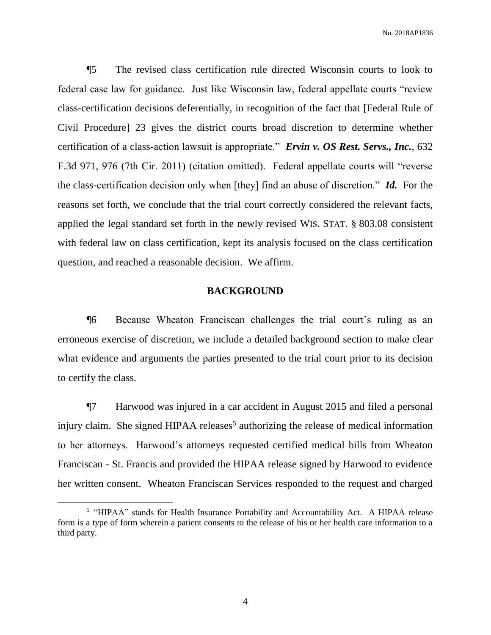¶5 The revised class certification rule directed Wisconsin courts to look to federal case law for guidance. Just like Wisconsin law, federal appellate courts "review class-certification decisions deferentially, in recognition of the fact that [Federal Rule of Civil Procedure] 23 gives the district courts broad discretion to determine whether certification of a class-action lawsuit is appropriate." *Ervin v. OS Rest. Servs., Inc.*, 632 F.3d 971, 976 (7th Cir. 2011) (citation omitted). Federal appellate courts will "reverse the class-certification decision only when [they] find an abuse of discretion." *Id.* For the reasons set forth, we conclude that the trial court correctly considered the relevant facts, applied the legal standard set forth in the newly revised WIS. STAT. § 803.08 consistent with federal law on class certification, kept its analysis focused on the class certification question, and reached a reasonable decision. We affirm.

#### **BACKGROUND**

¶6 Because Wheaton Franciscan challenges the trial court's ruling as an erroneous exercise of discretion, we include a detailed background section to make clear what evidence and arguments the parties presented to the trial court prior to its decision to certify the class.

¶7 Harwood was injured in a car accident in August 2015 and filed a personal injury claim. She signed HIPAA releases<sup>5</sup> authorizing the release of medical information to her attorneys. Harwood's attorneys requested certified medical bills from Wheaton Franciscan - St. Francis and provided the HIPAA release signed by Harwood to evidence her written consent. Wheaton Franciscan Services responded to the request and charged

<sup>&</sup>lt;sup>5</sup> "HIPAA" stands for Health Insurance Portability and Accountability Act. A HIPAA release form is a type of form wherein a patient consents to the release of his or her health care information to a third party.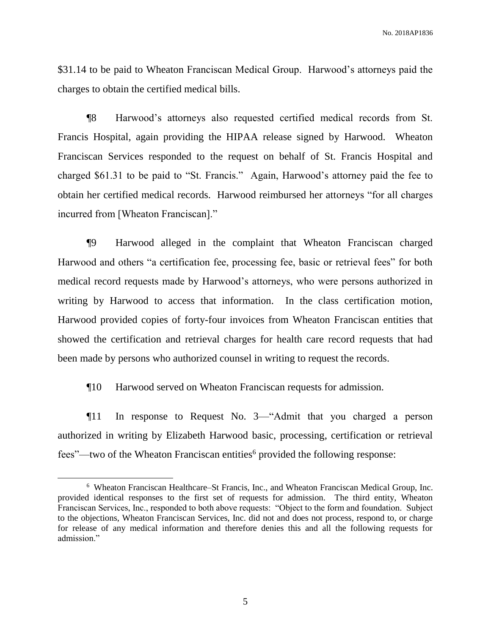\$31.14 to be paid to Wheaton Franciscan Medical Group. Harwood's attorneys paid the charges to obtain the certified medical bills.

¶8 Harwood's attorneys also requested certified medical records from St. Francis Hospital, again providing the HIPAA release signed by Harwood. Wheaton Franciscan Services responded to the request on behalf of St. Francis Hospital and charged \$61.31 to be paid to "St. Francis." Again, Harwood's attorney paid the fee to obtain her certified medical records. Harwood reimbursed her attorneys "for all charges incurred from [Wheaton Franciscan]."

¶9 Harwood alleged in the complaint that Wheaton Franciscan charged Harwood and others "a certification fee, processing fee, basic or retrieval fees" for both medical record requests made by Harwood's attorneys, who were persons authorized in writing by Harwood to access that information. In the class certification motion, Harwood provided copies of forty-four invoices from Wheaton Franciscan entities that showed the certification and retrieval charges for health care record requests that had been made by persons who authorized counsel in writing to request the records.

¶10 Harwood served on Wheaton Franciscan requests for admission.

¶11 In response to Request No. 3—"Admit that you charged a person authorized in writing by Elizabeth Harwood basic, processing, certification or retrieval fees"—two of the Wheaton Franciscan entities<sup>6</sup> provided the following response:

 $\overline{a}$ 

<sup>6</sup> Wheaton Franciscan Healthcare–St Francis, Inc., and Wheaton Franciscan Medical Group, Inc. provided identical responses to the first set of requests for admission. The third entity, Wheaton Franciscan Services, Inc., responded to both above requests: "Object to the form and foundation. Subject to the objections, Wheaton Franciscan Services, Inc. did not and does not process, respond to, or charge for release of any medical information and therefore denies this and all the following requests for admission."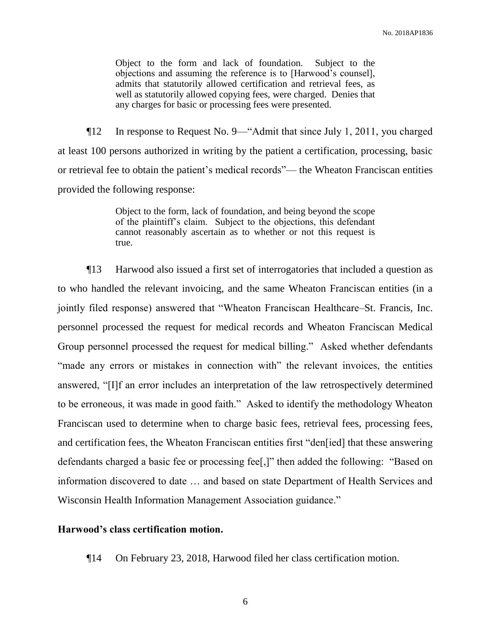Object to the form and lack of foundation. Subject to the objections and assuming the reference is to [Harwood's counsel], admits that statutorily allowed certification and retrieval fees, as well as statutorily allowed copying fees, were charged. Denies that any charges for basic or processing fees were presented.

¶12 In response to Request No. 9—"Admit that since July 1, 2011, you charged at least 100 persons authorized in writing by the patient a certification, processing, basic or retrieval fee to obtain the patient's medical records"— the Wheaton Franciscan entities provided the following response:

> Object to the form, lack of foundation, and being beyond the scope of the plaintiff's claim. Subject to the objections, this defendant cannot reasonably ascertain as to whether or not this request is true.

¶13 Harwood also issued a first set of interrogatories that included a question as to who handled the relevant invoicing, and the same Wheaton Franciscan entities (in a jointly filed response) answered that "Wheaton Franciscan Healthcare–St. Francis, Inc. personnel processed the request for medical records and Wheaton Franciscan Medical Group personnel processed the request for medical billing." Asked whether defendants "made any errors or mistakes in connection with" the relevant invoices, the entities answered, "[I]f an error includes an interpretation of the law retrospectively determined to be erroneous, it was made in good faith." Asked to identify the methodology Wheaton Franciscan used to determine when to charge basic fees, retrieval fees, processing fees, and certification fees, the Wheaton Franciscan entities first "den[ied] that these answering defendants charged a basic fee or processing fee[,]" then added the following: "Based on information discovered to date … and based on state Department of Health Services and Wisconsin Health Information Management Association guidance."

#### **Harwood's class certification motion.**

¶14 On February 23, 2018, Harwood filed her class certification motion.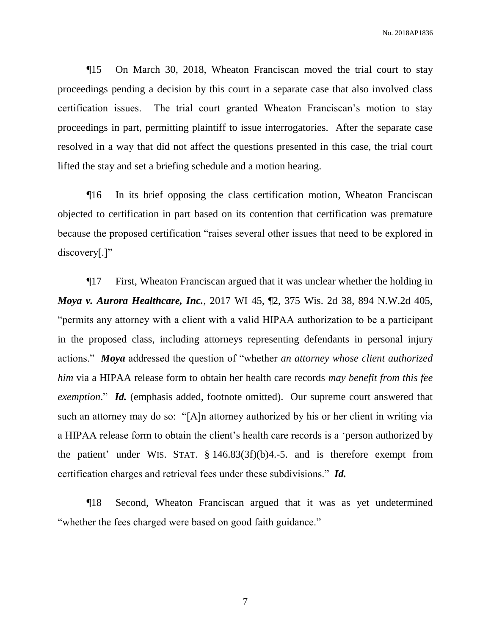¶15 On March 30, 2018, Wheaton Franciscan moved the trial court to stay proceedings pending a decision by this court in a separate case that also involved class certification issues. The trial court granted Wheaton Franciscan's motion to stay proceedings in part, permitting plaintiff to issue interrogatories. After the separate case resolved in a way that did not affect the questions presented in this case, the trial court lifted the stay and set a briefing schedule and a motion hearing.

¶16 In its brief opposing the class certification motion, Wheaton Franciscan objected to certification in part based on its contention that certification was premature because the proposed certification "raises several other issues that need to be explored in discovery[.]"

¶17 First, Wheaton Franciscan argued that it was unclear whether the holding in *Moya v. Aurora Healthcare, Inc.*, 2017 WI 45, ¶2, 375 Wis. 2d 38, 894 N.W.2d 405, "permits any attorney with a client with a valid HIPAA authorization to be a participant in the proposed class, including attorneys representing defendants in personal injury actions." *Moya* addressed the question of "whether *an attorney whose client authorized him* via a HIPAA release form to obtain her health care records *may benefit from this fee exemption*." *Id.* (emphasis added, footnote omitted). Our supreme court answered that such an attorney may do so: "[A]n attorney authorized by his or her client in writing via a HIPAA release form to obtain the client's health care records is a 'person authorized by the patient' under WIS. STAT. § 146.83(3f)(b)4.-5. and is therefore exempt from certification charges and retrieval fees under these subdivisions." *Id.* 

¶18 Second, Wheaton Franciscan argued that it was as yet undetermined "whether the fees charged were based on good faith guidance."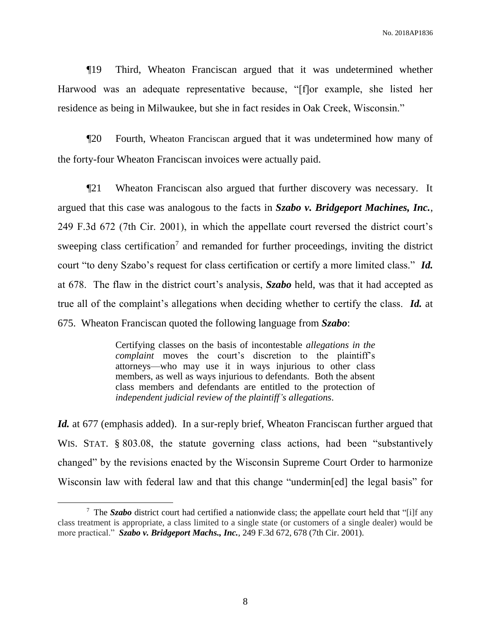¶19 Third, Wheaton Franciscan argued that it was undetermined whether Harwood was an adequate representative because, "[f]or example, she listed her residence as being in Milwaukee, but she in fact resides in Oak Creek, Wisconsin."

¶20 Fourth, Wheaton Franciscan argued that it was undetermined how many of the forty-four Wheaton Franciscan invoices were actually paid.

¶21 Wheaton Franciscan also argued that further discovery was necessary. It argued that this case was analogous to the facts in *Szabo v. Bridgeport Machines, Inc.*, 249 F.3d 672 (7th Cir. 2001), in which the appellate court reversed the district court's sweeping class certification<sup>7</sup> and remanded for further proceedings, inviting the district court "to deny Szabo's request for class certification or certify a more limited class." *Id.* at 678. The flaw in the district court's analysis, *Szabo* held, was that it had accepted as true all of the complaint's allegations when deciding whether to certify the class. *Id.* at 675. Wheaton Franciscan quoted the following language from *Szabo*:

> Certifying classes on the basis of incontestable *allegations in the complaint* moves the court's discretion to the plaintiff's attorneys—who may use it in ways injurious to other class members, as well as ways injurious to defendants. Both the absent class members and defendants are entitled to the protection of *independent judicial review of the plaintiff's allegations*.

Id. at 677 (emphasis added). In a sur-reply brief, Wheaton Franciscan further argued that WIS. STAT. § 803.08, the statute governing class actions, had been "substantively changed" by the revisions enacted by the Wisconsin Supreme Court Order to harmonize Wisconsin law with federal law and that this change "undermin[ed] the legal basis" for

 $\overline{a}$ 

<sup>7</sup> The *Szabo* district court had certified a nationwide class; the appellate court held that "[i]f any class treatment is appropriate, a class limited to a single state (or customers of a single dealer) would be more practical." *Szabo v. Bridgeport Machs., Inc.*, 249 F.3d 672, 678 (7th Cir. 2001).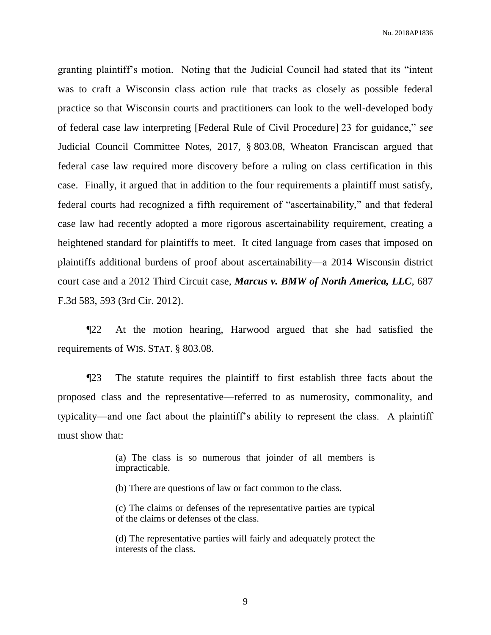granting plaintiff's motion. Noting that the Judicial Council had stated that its "intent was to craft a Wisconsin class action rule that tracks as closely as possible federal practice so that Wisconsin courts and practitioners can look to the well-developed body of federal case law interpreting [Federal Rule of Civil Procedure] 23 for guidance," *see* Judicial Council Committee Notes, 2017, § 803.08, Wheaton Franciscan argued that federal case law required more discovery before a ruling on class certification in this case. Finally, it argued that in addition to the four requirements a plaintiff must satisfy, federal courts had recognized a fifth requirement of "ascertainability," and that federal case law had recently adopted a more rigorous ascertainability requirement, creating a heightened standard for plaintiffs to meet. It cited language from cases that imposed on plaintiffs additional burdens of proof about ascertainability—a 2014 Wisconsin district court case and a 2012 Third Circuit case, *Marcus v. BMW of North America, LLC*, 687 F.3d 583, 593 (3rd Cir. 2012).

¶22 At the motion hearing, Harwood argued that she had satisfied the requirements of WIS. STAT. § 803.08.

¶23 The statute requires the plaintiff to first establish three facts about the proposed class and the representative—referred to as numerosity, commonality, and typicality—and one fact about the plaintiff's ability to represent the class. A plaintiff must show that:

> (a) The class is so numerous that joinder of all members is impracticable.

(b) There are questions of law or fact common to the class.

(c) The claims or defenses of the representative parties are typical of the claims or defenses of the class.

(d) The representative parties will fairly and adequately protect the interests of the class.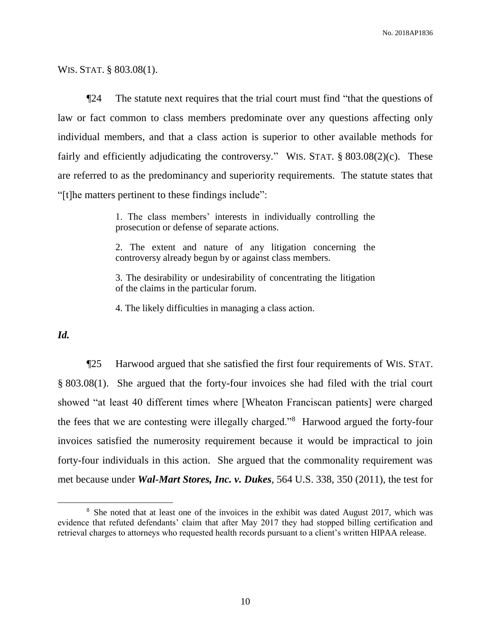WIS. STAT. § 803.08(1).

¶24 The statute next requires that the trial court must find "that the questions of law or fact common to class members predominate over any questions affecting only individual members, and that a class action is superior to other available methods for fairly and efficiently adjudicating the controversy." WIS. STAT. § 803.08(2)(c). These are referred to as the predominancy and superiority requirements. The statute states that "[t]he matters pertinent to these findings include":

> 1. The class members' interests in individually controlling the prosecution or defense of separate actions.

> 2. The extent and nature of any litigation concerning the controversy already begun by or against class members.

> 3. The desirability or undesirability of concentrating the litigation of the claims in the particular forum.

4. The likely difficulties in managing a class action.

*Id.*

 $\overline{a}$ 

¶25 Harwood argued that she satisfied the first four requirements of WIS. STAT. § 803.08(1). She argued that the forty-four invoices she had filed with the trial court showed "at least 40 different times where [Wheaton Franciscan patients] were charged the fees that we are contesting were illegally charged."<sup>8</sup> Harwood argued the forty-four invoices satisfied the numerosity requirement because it would be impractical to join forty-four individuals in this action. She argued that the commonality requirement was met because under *Wal-Mart Stores, Inc. v. Dukes*, 564 U.S. 338, 350 (2011), the test for

<sup>&</sup>lt;sup>8</sup> She noted that at least one of the invoices in the exhibit was dated August 2017, which was evidence that refuted defendants' claim that after May 2017 they had stopped billing certification and retrieval charges to attorneys who requested health records pursuant to a client's written HIPAA release.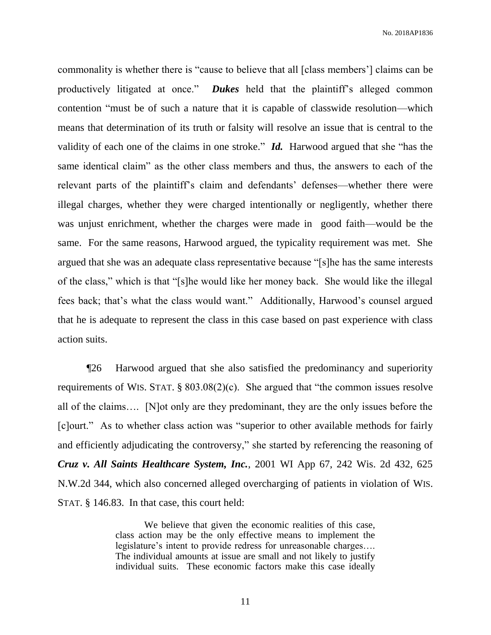commonality is whether there is "cause to believe that all [class members'] claims can be productively litigated at once." *Dukes* held that the plaintiff's alleged common contention "must be of such a nature that it is capable of classwide resolution—which means that determination of its truth or falsity will resolve an issue that is central to the validity of each one of the claims in one stroke." *Id.* Harwood argued that she "has the same identical claim" as the other class members and thus, the answers to each of the relevant parts of the plaintiff's claim and defendants' defenses—whether there were illegal charges, whether they were charged intentionally or negligently, whether there was unjust enrichment, whether the charges were made in good faith—would be the same. For the same reasons, Harwood argued, the typicality requirement was met. She argued that she was an adequate class representative because "[s]he has the same interests of the class," which is that "[s]he would like her money back. She would like the illegal fees back; that's what the class would want." Additionally, Harwood's counsel argued that he is adequate to represent the class in this case based on past experience with class action suits.

¶26 Harwood argued that she also satisfied the predominancy and superiority requirements of WIS. STAT. § 803.08(2)(c). She argued that "the common issues resolve all of the claims…. [N]ot only are they predominant, they are the only issues before the [c]ourt." As to whether class action was "superior to other available methods for fairly and efficiently adjudicating the controversy," she started by referencing the reasoning of *Cruz v. All Saints Healthcare System, Inc.*, 2001 WI App 67, 242 Wis. 2d 432, 625 N.W.2d 344, which also concerned alleged overcharging of patients in violation of WIS. STAT. § 146.83. In that case, this court held:

> We believe that given the economic realities of this case, class action may be the only effective means to implement the legislature's intent to provide redress for unreasonable charges…. The individual amounts at issue are small and not likely to justify individual suits. These economic factors make this case ideally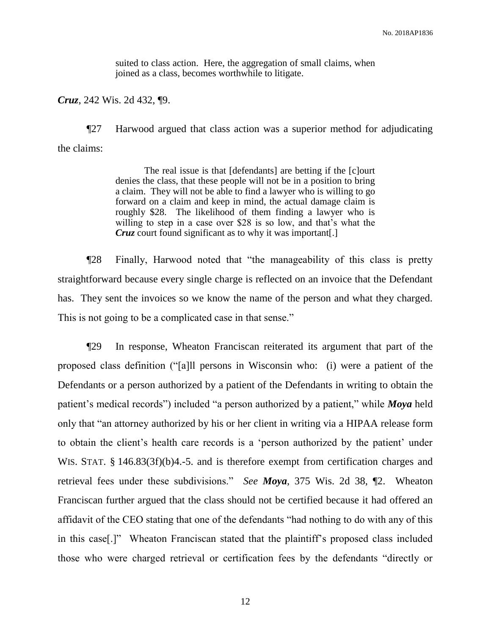suited to class action. Here, the aggregation of small claims, when joined as a class, becomes worthwhile to litigate.

*Cruz*, 242 Wis. 2d 432, ¶9.

¶27 Harwood argued that class action was a superior method for adjudicating the claims:

> The real issue is that [defendants] are betting if the [c]ourt denies the class, that these people will not be in a position to bring a claim. They will not be able to find a lawyer who is willing to go forward on a claim and keep in mind, the actual damage claim is roughly \$28. The likelihood of them finding a lawyer who is willing to step in a case over \$28 is so low, and that's what the *Cruz* court found significant as to why it was important[.]

¶28 Finally, Harwood noted that "the manageability of this class is pretty straightforward because every single charge is reflected on an invoice that the Defendant has. They sent the invoices so we know the name of the person and what they charged. This is not going to be a complicated case in that sense."

¶29 In response, Wheaton Franciscan reiterated its argument that part of the proposed class definition ("[a]ll persons in Wisconsin who: (i) were a patient of the Defendants or a person authorized by a patient of the Defendants in writing to obtain the patient's medical records") included "a person authorized by a patient," while *Moya* held only that "an attorney authorized by his or her client in writing via a HIPAA release form to obtain the client's health care records is a 'person authorized by the patient' under WIS. STAT. § 146.83(3f)(b)4.-5. and is therefore exempt from certification charges and retrieval fees under these subdivisions." *See Moya*, 375 Wis. 2d 38, ¶2. Wheaton Franciscan further argued that the class should not be certified because it had offered an affidavit of the CEO stating that one of the defendants "had nothing to do with any of this in this case[.]" Wheaton Franciscan stated that the plaintiff's proposed class included those who were charged retrieval or certification fees by the defendants "directly or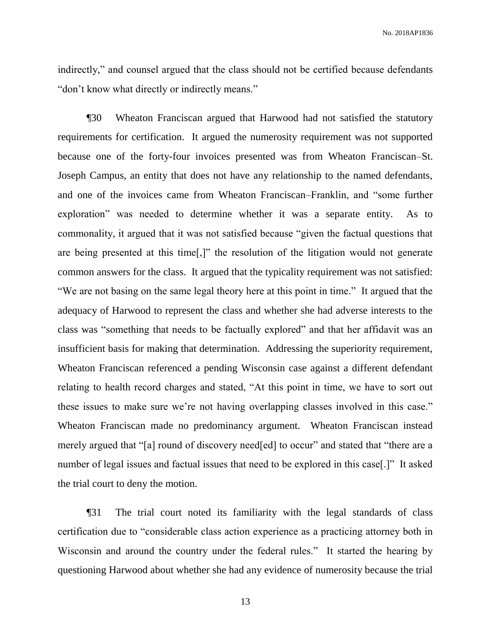indirectly," and counsel argued that the class should not be certified because defendants "don't know what directly or indirectly means."

¶30 Wheaton Franciscan argued that Harwood had not satisfied the statutory requirements for certification. It argued the numerosity requirement was not supported because one of the forty-four invoices presented was from Wheaton Franciscan–St. Joseph Campus, an entity that does not have any relationship to the named defendants, and one of the invoices came from Wheaton Franciscan–Franklin, and "some further exploration" was needed to determine whether it was a separate entity. As to commonality, it argued that it was not satisfied because "given the factual questions that are being presented at this time[,]" the resolution of the litigation would not generate common answers for the class. It argued that the typicality requirement was not satisfied: "We are not basing on the same legal theory here at this point in time." It argued that the adequacy of Harwood to represent the class and whether she had adverse interests to the class was "something that needs to be factually explored" and that her affidavit was an insufficient basis for making that determination. Addressing the superiority requirement, Wheaton Franciscan referenced a pending Wisconsin case against a different defendant relating to health record charges and stated, "At this point in time, we have to sort out these issues to make sure we're not having overlapping classes involved in this case." Wheaton Franciscan made no predominancy argument. Wheaton Franciscan instead merely argued that "[a] round of discovery need[ed] to occur" and stated that "there are a number of legal issues and factual issues that need to be explored in this case[.]" It asked the trial court to deny the motion.

¶31 The trial court noted its familiarity with the legal standards of class certification due to "considerable class action experience as a practicing attorney both in Wisconsin and around the country under the federal rules." It started the hearing by questioning Harwood about whether she had any evidence of numerosity because the trial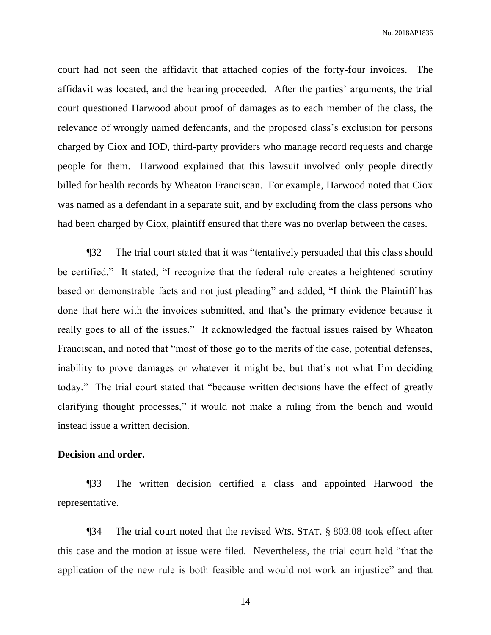court had not seen the affidavit that attached copies of the forty-four invoices. The affidavit was located, and the hearing proceeded. After the parties' arguments, the trial court questioned Harwood about proof of damages as to each member of the class, the relevance of wrongly named defendants, and the proposed class's exclusion for persons charged by Ciox and IOD, third-party providers who manage record requests and charge people for them. Harwood explained that this lawsuit involved only people directly billed for health records by Wheaton Franciscan. For example, Harwood noted that Ciox was named as a defendant in a separate suit, and by excluding from the class persons who had been charged by Ciox, plaintiff ensured that there was no overlap between the cases.

¶32 The trial court stated that it was "tentatively persuaded that this class should be certified." It stated, "I recognize that the federal rule creates a heightened scrutiny based on demonstrable facts and not just pleading" and added, "I think the Plaintiff has done that here with the invoices submitted, and that's the primary evidence because it really goes to all of the issues." It acknowledged the factual issues raised by Wheaton Franciscan, and noted that "most of those go to the merits of the case, potential defenses, inability to prove damages or whatever it might be, but that's not what I'm deciding today." The trial court stated that "because written decisions have the effect of greatly clarifying thought processes," it would not make a ruling from the bench and would instead issue a written decision.

#### **Decision and order.**

¶33 The written decision certified a class and appointed Harwood the representative.

¶34 The trial court noted that the revised WIS. STAT. § 803.08 took effect after this case and the motion at issue were filed. Nevertheless, the trial court held "that the application of the new rule is both feasible and would not work an injustice" and that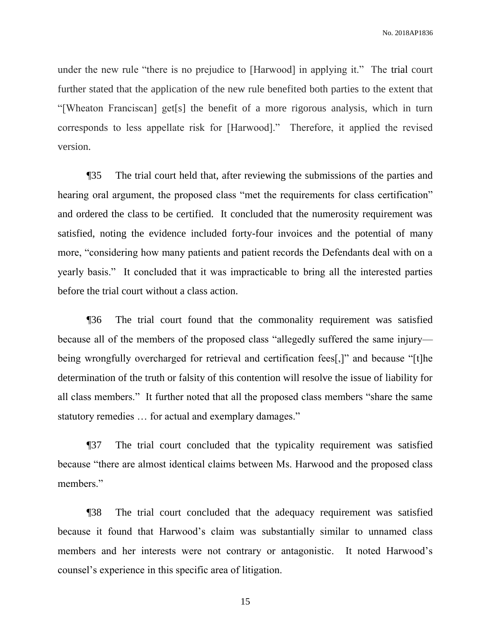under the new rule "there is no prejudice to [Harwood] in applying it." The trial court further stated that the application of the new rule benefited both parties to the extent that "[Wheaton Franciscan] get[s] the benefit of a more rigorous analysis, which in turn corresponds to less appellate risk for [Harwood]." Therefore, it applied the revised version.

¶35 The trial court held that, after reviewing the submissions of the parties and hearing oral argument, the proposed class "met the requirements for class certification" and ordered the class to be certified. It concluded that the numerosity requirement was satisfied, noting the evidence included forty-four invoices and the potential of many more, "considering how many patients and patient records the Defendants deal with on a yearly basis." It concluded that it was impracticable to bring all the interested parties before the trial court without a class action.

¶36 The trial court found that the commonality requirement was satisfied because all of the members of the proposed class "allegedly suffered the same injury being wrongfully overcharged for retrieval and certification fees[,]" and because "[t]he determination of the truth or falsity of this contention will resolve the issue of liability for all class members." It further noted that all the proposed class members "share the same statutory remedies … for actual and exemplary damages."

¶37 The trial court concluded that the typicality requirement was satisfied because "there are almost identical claims between Ms. Harwood and the proposed class members."

¶38 The trial court concluded that the adequacy requirement was satisfied because it found that Harwood's claim was substantially similar to unnamed class members and her interests were not contrary or antagonistic. It noted Harwood's counsel's experience in this specific area of litigation.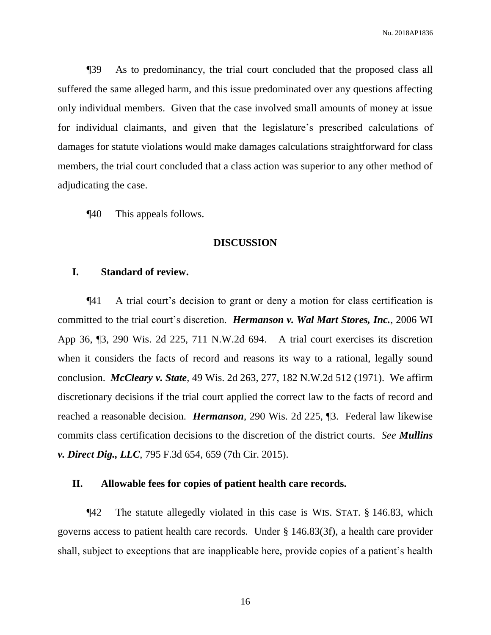¶39 As to predominancy, the trial court concluded that the proposed class all suffered the same alleged harm, and this issue predominated over any questions affecting only individual members. Given that the case involved small amounts of money at issue for individual claimants, and given that the legislature's prescribed calculations of damages for statute violations would make damages calculations straightforward for class members, the trial court concluded that a class action was superior to any other method of adjudicating the case.

¶40 This appeals follows.

#### **DISCUSSION**

#### **I. Standard of review.**

¶41 A trial court's decision to grant or deny a motion for class certification is committed to the trial court's discretion. *Hermanson v. Wal Mart Stores, Inc.*, 2006 WI App 36, ¶3, 290 Wis. 2d 225, 711 N.W.2d 694. A trial court exercises its discretion when it considers the facts of record and reasons its way to a rational, legally sound conclusion. *McCleary v. State*, 49 Wis. 2d 263, 277, 182 N.W.2d 512 (1971). We affirm discretionary decisions if the trial court applied the correct law to the facts of record and reached a reasonable decision. *Hermanson*, 290 Wis. 2d 225, ¶3. Federal law likewise commits class certification decisions to the discretion of the district courts. *See Mullins v. Direct Dig., LLC*, 795 F.3d 654, 659 (7th Cir. 2015).

#### **II. Allowable fees for copies of patient health care records.**

¶42 The statute allegedly violated in this case is WIS. STAT. § 146.83, which governs access to patient health care records. Under § 146.83(3f), a health care provider shall, subject to exceptions that are inapplicable here, provide copies of a patient's health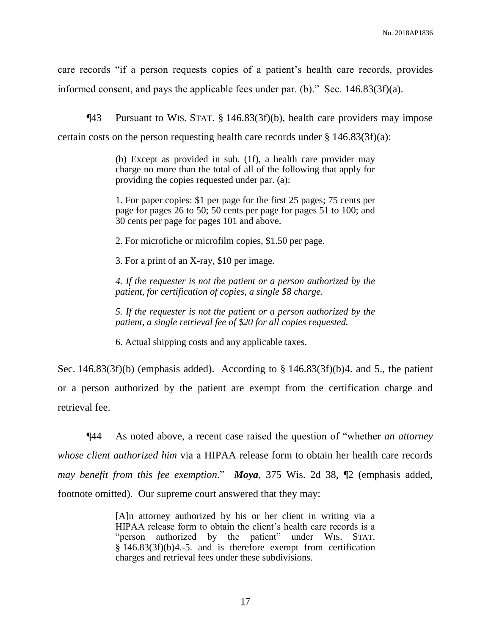care records "if a person requests copies of a patient's health care records, provides informed consent, and pays the applicable fees under par. (b)." Sec. 146.83(3f)(a).

¶43 Pursuant to WIS. STAT. § 146.83(3f)(b), health care providers may impose certain costs on the person requesting health care records under  $\S 146.83(3f)(a)$ :

> (b) Except as provided in sub. (1f), a health care provider may charge no more than the total of all of the following that apply for providing the copies requested under par. (a):

> 1. For paper copies: \$1 per page for the first 25 pages; 75 cents per page for pages 26 to 50; 50 cents per page for pages 51 to 100; and 30 cents per page for pages 101 and above.

2. For microfiche or microfilm copies, \$1.50 per page.

3. For a print of an X-ray, \$10 per image.

*4. If the requester is not the patient or a person authorized by the patient, for certification of copies, a single \$8 charge.*

*5. If the requester is not the patient or a person authorized by the patient, a single retrieval fee of \$20 for all copies requested.*

6. Actual shipping costs and any applicable taxes.

Sec. 146.83(3f)(b) (emphasis added). According to  $\S$  146.83(3f)(b)4. and 5., the patient or a person authorized by the patient are exempt from the certification charge and retrieval fee.

¶44 As noted above, a recent case raised the question of "whether *an attorney whose client authorized him* via a HIPAA release form to obtain her health care records *may benefit from this fee exemption*." *Moya*, 375 Wis. 2d 38, ¶2 (emphasis added, footnote omitted). Our supreme court answered that they may:

> [A]n attorney authorized by his or her client in writing via a HIPAA release form to obtain the client's health care records is a "person authorized by the patient" under WIS. STAT. § 146.83(3f)(b)4.-5. and is therefore exempt from certification charges and retrieval fees under these subdivisions.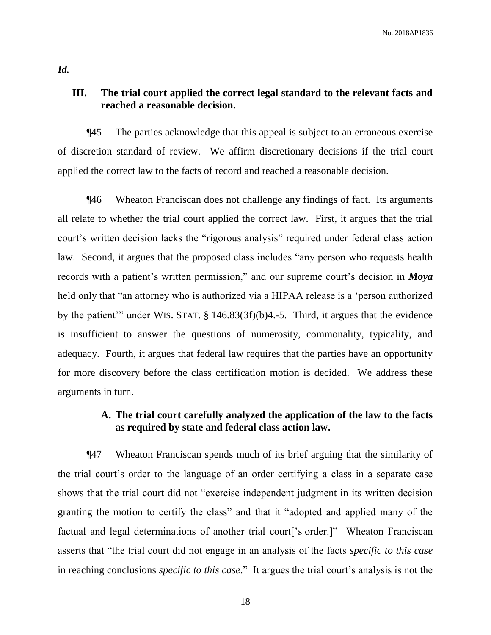## **III. The trial court applied the correct legal standard to the relevant facts and reached a reasonable decision.**

¶45 The parties acknowledge that this appeal is subject to an erroneous exercise of discretion standard of review. We affirm discretionary decisions if the trial court applied the correct law to the facts of record and reached a reasonable decision.

¶46 Wheaton Franciscan does not challenge any findings of fact. Its arguments all relate to whether the trial court applied the correct law. First, it argues that the trial court's written decision lacks the "rigorous analysis" required under federal class action law. Second, it argues that the proposed class includes "any person who requests health records with a patient's written permission," and our supreme court's decision in *Moya* held only that "an attorney who is authorized via a HIPAA release is a 'person authorized by the patient'" under WIS. STAT. § 146.83(3f)(b)4.-5. Third, it argues that the evidence is insufficient to answer the questions of numerosity, commonality, typicality, and adequacy. Fourth, it argues that federal law requires that the parties have an opportunity for more discovery before the class certification motion is decided. We address these arguments in turn.

## **A. The trial court carefully analyzed the application of the law to the facts as required by state and federal class action law.**

¶47 Wheaton Franciscan spends much of its brief arguing that the similarity of the trial court's order to the language of an order certifying a class in a separate case shows that the trial court did not "exercise independent judgment in its written decision granting the motion to certify the class" and that it "adopted and applied many of the factual and legal determinations of another trial court ['s order.]" Wheaton Franciscan asserts that "the trial court did not engage in an analysis of the facts *specific to this case* in reaching conclusions *specific to this case*." It argues the trial court's analysis is not the

*Id.*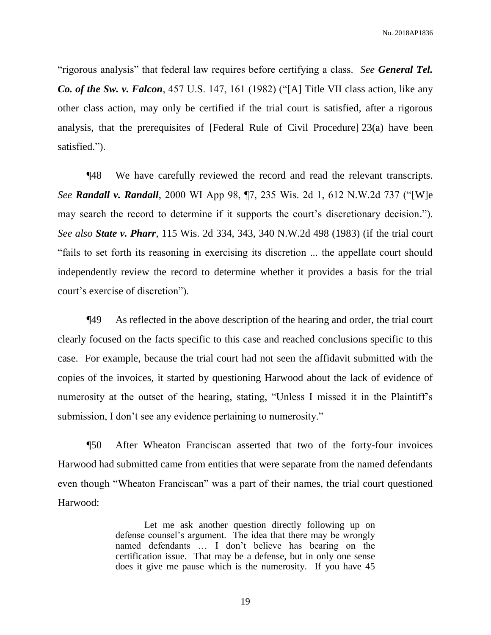"rigorous analysis" that federal law requires before certifying a class. *See General Tel. Co. of the Sw. v. Falcon*, 457 U.S. 147, 161 (1982) ("[A] Title VII class action, like any other class action, may only be certified if the trial court is satisfied, after a rigorous analysis, that the prerequisites of [Federal Rule of Civil Procedure] 23(a) have been satisfied.").

¶48 We have carefully reviewed the record and read the relevant transcripts. *See Randall v. Randall*, 2000 WI App 98, ¶7, 235 Wis. 2d 1, 612 N.W.2d 737 ("[W]e may search the record to determine if it supports the court's discretionary decision."). *See also State v. Pharr*, 115 Wis. 2d 334, 343, 340 N.W.2d 498 (1983) (if the trial court "fails to set forth its reasoning in exercising its discretion ... the appellate court should independently review the record to determine whether it provides a basis for the trial court's exercise of discretion").

¶49 As reflected in the above description of the hearing and order, the trial court clearly focused on the facts specific to this case and reached conclusions specific to this case. For example, because the trial court had not seen the affidavit submitted with the copies of the invoices, it started by questioning Harwood about the lack of evidence of numerosity at the outset of the hearing, stating, "Unless I missed it in the Plaintiff's submission, I don't see any evidence pertaining to numerosity."

¶50 After Wheaton Franciscan asserted that two of the forty-four invoices Harwood had submitted came from entities that were separate from the named defendants even though "Wheaton Franciscan" was a part of their names, the trial court questioned Harwood:

> Let me ask another question directly following up on defense counsel's argument. The idea that there may be wrongly named defendants … I don't believe has bearing on the certification issue. That may be a defense, but in only one sense does it give me pause which is the numerosity. If you have 45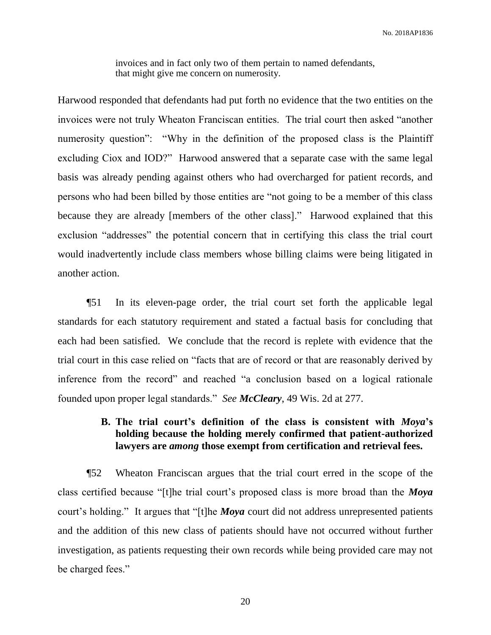invoices and in fact only two of them pertain to named defendants, that might give me concern on numerosity.

Harwood responded that defendants had put forth no evidence that the two entities on the invoices were not truly Wheaton Franciscan entities. The trial court then asked "another numerosity question": "Why in the definition of the proposed class is the Plaintiff excluding Ciox and IOD?" Harwood answered that a separate case with the same legal basis was already pending against others who had overcharged for patient records, and persons who had been billed by those entities are "not going to be a member of this class because they are already [members of the other class]." Harwood explained that this exclusion "addresses" the potential concern that in certifying this class the trial court would inadvertently include class members whose billing claims were being litigated in another action.

¶51 In its eleven-page order, the trial court set forth the applicable legal standards for each statutory requirement and stated a factual basis for concluding that each had been satisfied. We conclude that the record is replete with evidence that the trial court in this case relied on "facts that are of record or that are reasonably derived by inference from the record" and reached "a conclusion based on a logical rationale founded upon proper legal standards." *See McCleary*, 49 Wis. 2d at 277.

## **B. The trial court's definition of the class is consistent with** *Moya***'s holding because the holding merely confirmed that patient-authorized lawyers are** *among* **those exempt from certification and retrieval fees.**

¶52 Wheaton Franciscan argues that the trial court erred in the scope of the class certified because "[t]he trial court's proposed class is more broad than the *Moya* court's holding." It argues that "[t]he *Moya* court did not address unrepresented patients and the addition of this new class of patients should have not occurred without further investigation, as patients requesting their own records while being provided care may not be charged fees."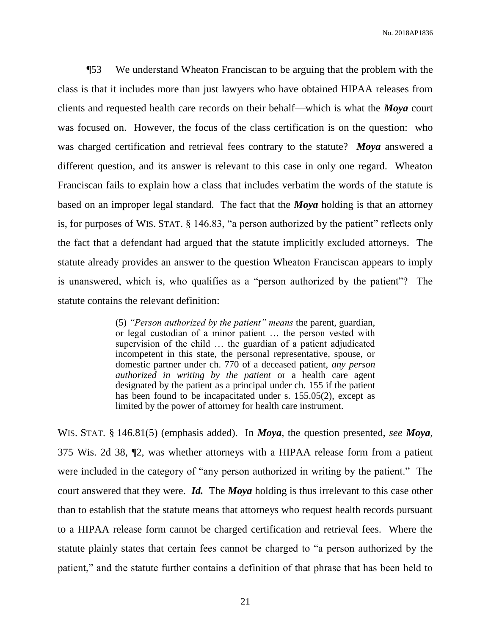¶53 We understand Wheaton Franciscan to be arguing that the problem with the class is that it includes more than just lawyers who have obtained HIPAA releases from clients and requested health care records on their behalf—which is what the *Moya* court was focused on. However, the focus of the class certification is on the question: who was charged certification and retrieval fees contrary to the statute? *Moya* answered a different question, and its answer is relevant to this case in only one regard. Wheaton Franciscan fails to explain how a class that includes verbatim the words of the statute is based on an improper legal standard. The fact that the *Moya* holding is that an attorney is, for purposes of WIS. STAT. § 146.83, "a person authorized by the patient" reflects only the fact that a defendant had argued that the statute implicitly excluded attorneys. The statute already provides an answer to the question Wheaton Franciscan appears to imply is unanswered, which is, who qualifies as a "person authorized by the patient"? The statute contains the relevant definition:

> (5) *"Person authorized by the patient" means* the parent, guardian, or legal custodian of a minor patient … the person vested with supervision of the child … the guardian of a patient adjudicated incompetent in this state, the personal representative, spouse, or domestic partner under ch. 770 of a deceased patient, *any person authorized in writing by the patient* or a health care agent designated by the patient as a principal under ch. 155 if the patient has been found to be incapacitated under s. 155.05(2), except as limited by the power of attorney for health care instrument.

WIS. STAT. § 146.81(5) (emphasis added). In *Moya*, the question presented, *see Moya*, 375 Wis. 2d 38, ¶2, was whether attorneys with a HIPAA release form from a patient were included in the category of "any person authorized in writing by the patient." The court answered that they were. *Id.* The *Moya* holding is thus irrelevant to this case other than to establish that the statute means that attorneys who request health records pursuant to a HIPAA release form cannot be charged certification and retrieval fees. Where the statute plainly states that certain fees cannot be charged to "a person authorized by the patient," and the statute further contains a definition of that phrase that has been held to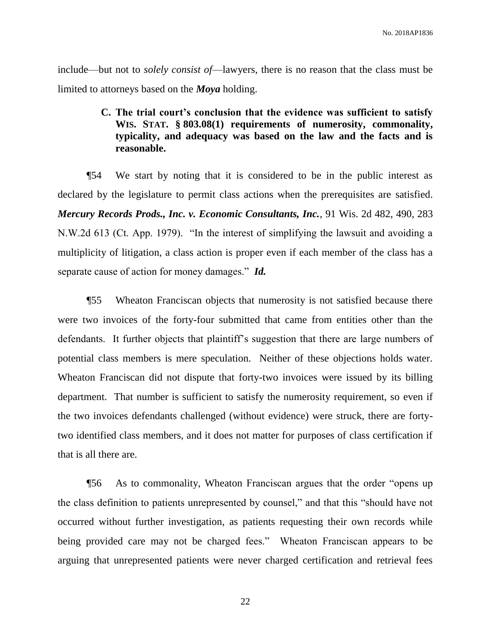include—but not to *solely consist of*—lawyers, there is no reason that the class must be limited to attorneys based on the *Moya* holding.

## **C. The trial court's conclusion that the evidence was sufficient to satisfy WIS. STAT. § 803.08(1) requirements of numerosity, commonality, typicality, and adequacy was based on the law and the facts and is reasonable.**

¶54 We start by noting that it is considered to be in the public interest as declared by the legislature to permit class actions when the prerequisites are satisfied. *Mercury Records Prods., Inc. v. Economic Consultants, Inc.*, 91 Wis. 2d 482, 490, 283 N.W.2d 613 (Ct. App. 1979). "In the interest of simplifying the lawsuit and avoiding a multiplicity of litigation, a class action is proper even if each member of the class has a separate cause of action for money damages." *Id.*

¶55 Wheaton Franciscan objects that numerosity is not satisfied because there were two invoices of the forty-four submitted that came from entities other than the defendants. It further objects that plaintiff's suggestion that there are large numbers of potential class members is mere speculation. Neither of these objections holds water. Wheaton Franciscan did not dispute that forty-two invoices were issued by its billing department. That number is sufficient to satisfy the numerosity requirement, so even if the two invoices defendants challenged (without evidence) were struck, there are fortytwo identified class members, and it does not matter for purposes of class certification if that is all there are.

¶56 As to commonality, Wheaton Franciscan argues that the order "opens up the class definition to patients unrepresented by counsel," and that this "should have not occurred without further investigation, as patients requesting their own records while being provided care may not be charged fees." Wheaton Franciscan appears to be arguing that unrepresented patients were never charged certification and retrieval fees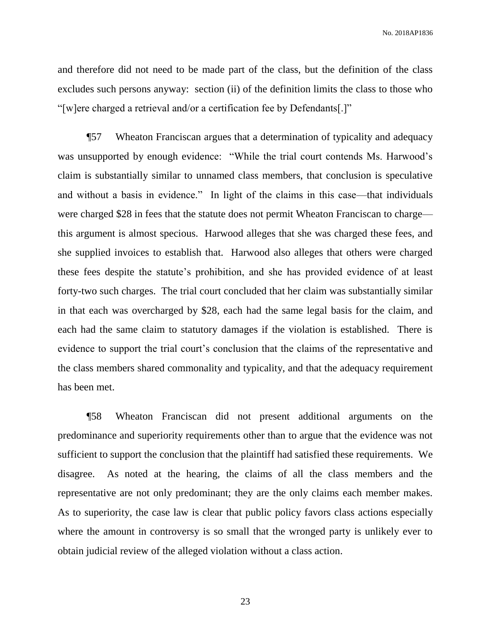and therefore did not need to be made part of the class, but the definition of the class excludes such persons anyway: section (ii) of the definition limits the class to those who "[w]ere charged a retrieval and/or a certification fee by Defendants[.]"

¶57 Wheaton Franciscan argues that a determination of typicality and adequacy was unsupported by enough evidence: "While the trial court contends Ms. Harwood's claim is substantially similar to unnamed class members, that conclusion is speculative and without a basis in evidence." In light of the claims in this case—that individuals were charged \$28 in fees that the statute does not permit Wheaton Franciscan to charge this argument is almost specious. Harwood alleges that she was charged these fees, and she supplied invoices to establish that. Harwood also alleges that others were charged these fees despite the statute's prohibition, and she has provided evidence of at least forty-two such charges. The trial court concluded that her claim was substantially similar in that each was overcharged by \$28, each had the same legal basis for the claim, and each had the same claim to statutory damages if the violation is established. There is evidence to support the trial court's conclusion that the claims of the representative and the class members shared commonality and typicality, and that the adequacy requirement has been met.

¶58 Wheaton Franciscan did not present additional arguments on the predominance and superiority requirements other than to argue that the evidence was not sufficient to support the conclusion that the plaintiff had satisfied these requirements. We disagree. As noted at the hearing, the claims of all the class members and the representative are not only predominant; they are the only claims each member makes. As to superiority, the case law is clear that public policy favors class actions especially where the amount in controversy is so small that the wronged party is unlikely ever to obtain judicial review of the alleged violation without a class action.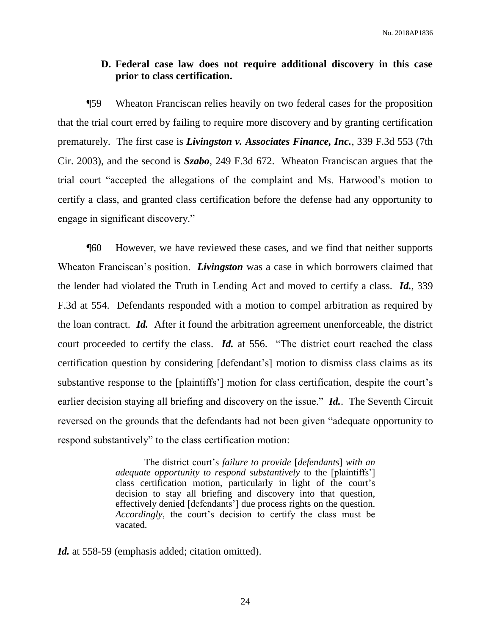### **D. Federal case law does not require additional discovery in this case prior to class certification.**

¶59 Wheaton Franciscan relies heavily on two federal cases for the proposition that the trial court erred by failing to require more discovery and by granting certification prematurely. The first case is *Livingston v. Associates Finance, Inc.*, 339 F.3d 553 (7th Cir. 2003), and the second is *Szabo*, 249 F.3d 672. Wheaton Franciscan argues that the trial court "accepted the allegations of the complaint and Ms. Harwood's motion to certify a class, and granted class certification before the defense had any opportunity to engage in significant discovery."

¶60 However, we have reviewed these cases, and we find that neither supports Wheaton Franciscan's position. *Livingston* was a case in which borrowers claimed that the lender had violated the Truth in Lending Act and moved to certify a class. *Id.*, 339 F.3d at 554. Defendants responded with a motion to compel arbitration as required by the loan contract. *Id.* After it found the arbitration agreement unenforceable, the district court proceeded to certify the class. *Id.* at 556. "The district court reached the class certification question by considering [defendant's] motion to dismiss class claims as its substantive response to the [plaintiffs'] motion for class certification, despite the court's earlier decision staying all briefing and discovery on the issue." *Id.*. The Seventh Circuit reversed on the grounds that the defendants had not been given "adequate opportunity to respond substantively" to the class certification motion:

> The district court's *failure to provide* [*defendants*] *with an adequate opportunity to respond substantively* to the [plaintiffs'] class certification motion, particularly in light of the court's decision to stay all briefing and discovery into that question, effectively denied [defendants'] due process rights on the question. *Accordingly*, the court's decision to certify the class must be vacated.

Id. at 558-59 (emphasis added; citation omitted).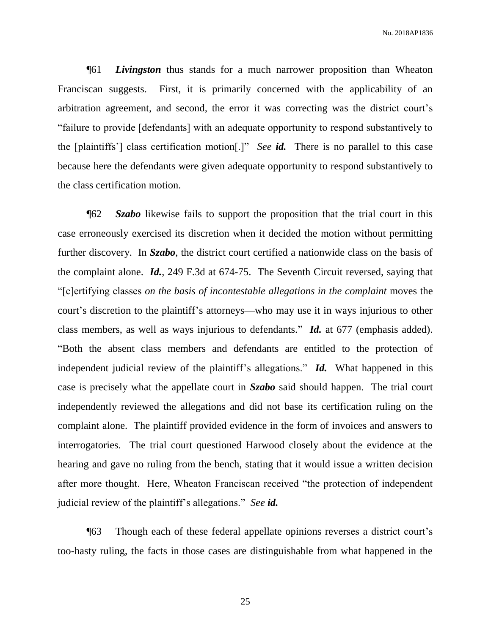¶61 *Livingston* thus stands for a much narrower proposition than Wheaton Franciscan suggests. First, it is primarily concerned with the applicability of an arbitration agreement, and second, the error it was correcting was the district court's "failure to provide [defendants] with an adequate opportunity to respond substantively to the [plaintiffs'] class certification motion[.]" *See id.* There is no parallel to this case because here the defendants were given adequate opportunity to respond substantively to the class certification motion.

¶62 *Szabo* likewise fails to support the proposition that the trial court in this case erroneously exercised its discretion when it decided the motion without permitting further discovery. In *Szabo*, the district court certified a nationwide class on the basis of the complaint alone. *Id.*, 249 F.3d at 674-75. The Seventh Circuit reversed, saying that "[c]ertifying classes *on the basis of incontestable allegations in the complaint* moves the court's discretion to the plaintiff's attorneys—who may use it in ways injurious to other class members, as well as ways injurious to defendants." *Id.* at 677 (emphasis added). "Both the absent class members and defendants are entitled to the protection of independent judicial review of the plaintiff's allegations." *Id.* What happened in this case is precisely what the appellate court in *Szabo* said should happen. The trial court independently reviewed the allegations and did not base its certification ruling on the complaint alone. The plaintiff provided evidence in the form of invoices and answers to interrogatories. The trial court questioned Harwood closely about the evidence at the hearing and gave no ruling from the bench, stating that it would issue a written decision after more thought. Here, Wheaton Franciscan received "the protection of independent judicial review of the plaintiff's allegations." *See id.*

¶63 Though each of these federal appellate opinions reverses a district court's too-hasty ruling, the facts in those cases are distinguishable from what happened in the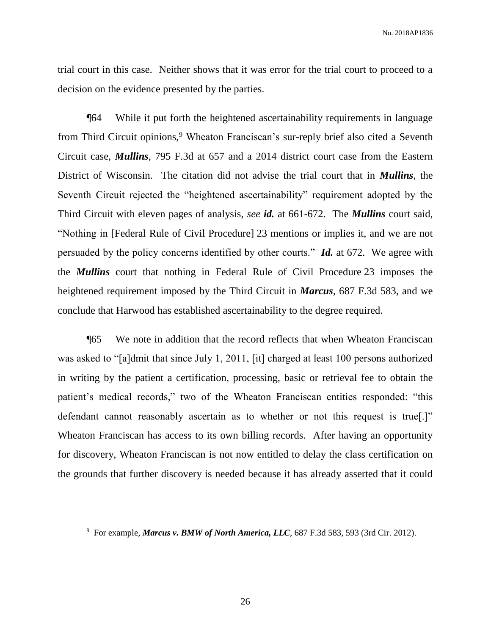trial court in this case. Neither shows that it was error for the trial court to proceed to a decision on the evidence presented by the parties.

¶64 While it put forth the heightened ascertainability requirements in language from Third Circuit opinions,<sup>9</sup> Wheaton Franciscan's sur-reply brief also cited a Seventh Circuit case, *Mullins*, 795 F.3d at 657 and a 2014 district court case from the Eastern District of Wisconsin. The citation did not advise the trial court that in *Mullins*, the Seventh Circuit rejected the "heightened ascertainability" requirement adopted by the Third Circuit with eleven pages of analysis, *see id.* at 661-672. The *Mullins* court said, "Nothing in [Federal Rule of Civil Procedure] 23 mentions or implies it, and we are not persuaded by the policy concerns identified by other courts." *Id.* at 672. We agree with the *Mullins* court that nothing in Federal Rule of Civil Procedure 23 imposes the heightened requirement imposed by the Third Circuit in *Marcus*, 687 F.3d 583, and we conclude that Harwood has established ascertainability to the degree required.

¶65 We note in addition that the record reflects that when Wheaton Franciscan was asked to "[a]dmit that since July 1, 2011, [it] charged at least 100 persons authorized in writing by the patient a certification, processing, basic or retrieval fee to obtain the patient's medical records," two of the Wheaton Franciscan entities responded: "this defendant cannot reasonably ascertain as to whether or not this request is true[.]" Wheaton Franciscan has access to its own billing records. After having an opportunity for discovery, Wheaton Franciscan is not now entitled to delay the class certification on the grounds that further discovery is needed because it has already asserted that it could

<sup>9</sup> For example, *Marcus v. BMW of North America, LLC*, 687 F.3d 583, 593 (3rd Cir. 2012).